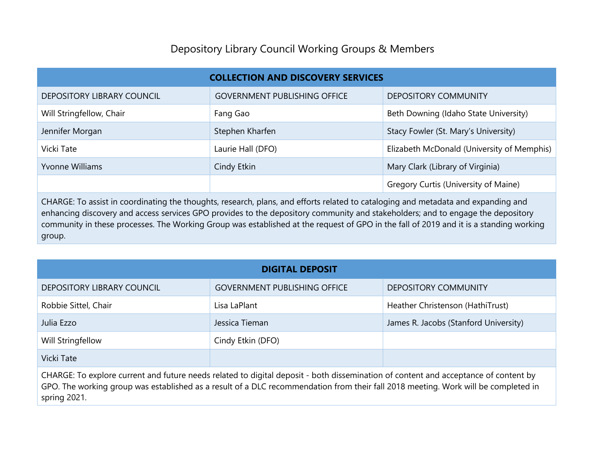## Depository Library Council Working Groups & Members

| <b>COLLECTION AND DISCOVERY SERVICES</b> |                                     |                                            |  |  |
|------------------------------------------|-------------------------------------|--------------------------------------------|--|--|
| <b>DEPOSITORY LIBRARY COUNCIL</b>        | <b>GOVERNMENT PUBLISHING OFFICE</b> | <b>DEPOSITORY COMMUNITY</b>                |  |  |
| Will Stringfellow, Chair                 | Fang Gao                            | Beth Downing (Idaho State University)      |  |  |
| Jennifer Morgan                          | Stephen Kharfen                     | Stacy Fowler (St. Mary's University)       |  |  |
| Vicki Tate                               | Laurie Hall (DFO)                   | Elizabeth McDonald (University of Memphis) |  |  |
| Yvonne Williams                          | Cindy Etkin                         | Mary Clark (Library of Virginia)           |  |  |
|                                          |                                     | Gregory Curtis (University of Maine)       |  |  |

CHARGE: To assist in coordinating the thoughts, research, plans, and efforts related to cataloging and metadata and expanding and enhancing discovery and access services GPO provides to the depository community and stakeholders; and to engage the depository community in these processes. The Working Group was established at the request of GPO in the fall of 2019 and it is a standing working group.

| <b>DIGITAL DEPOSIT</b>     |                                     |                                       |  |  |
|----------------------------|-------------------------------------|---------------------------------------|--|--|
| DEPOSITORY LIBRARY COUNCIL | <b>GOVERNMENT PUBLISHING OFFICE</b> | <b>DEPOSITORY COMMUNITY</b>           |  |  |
| Robbie Sittel, Chair       | Lisa LaPlant                        | Heather Christenson (HathiTrust)      |  |  |
| Julia Ezzo                 | Jessica Tieman                      | James R. Jacobs (Stanford University) |  |  |
| Will Stringfellow          | Cindy Etkin (DFO)                   |                                       |  |  |
| Vicki Tate                 |                                     |                                       |  |  |

CHARGE: To explore current and future needs related to digital deposit - both dissemination of content and acceptance of content by GPO. The working group was established as a result of a DLC recommendation from their fall 2018 meeting. Work will be completed in spring 2021.